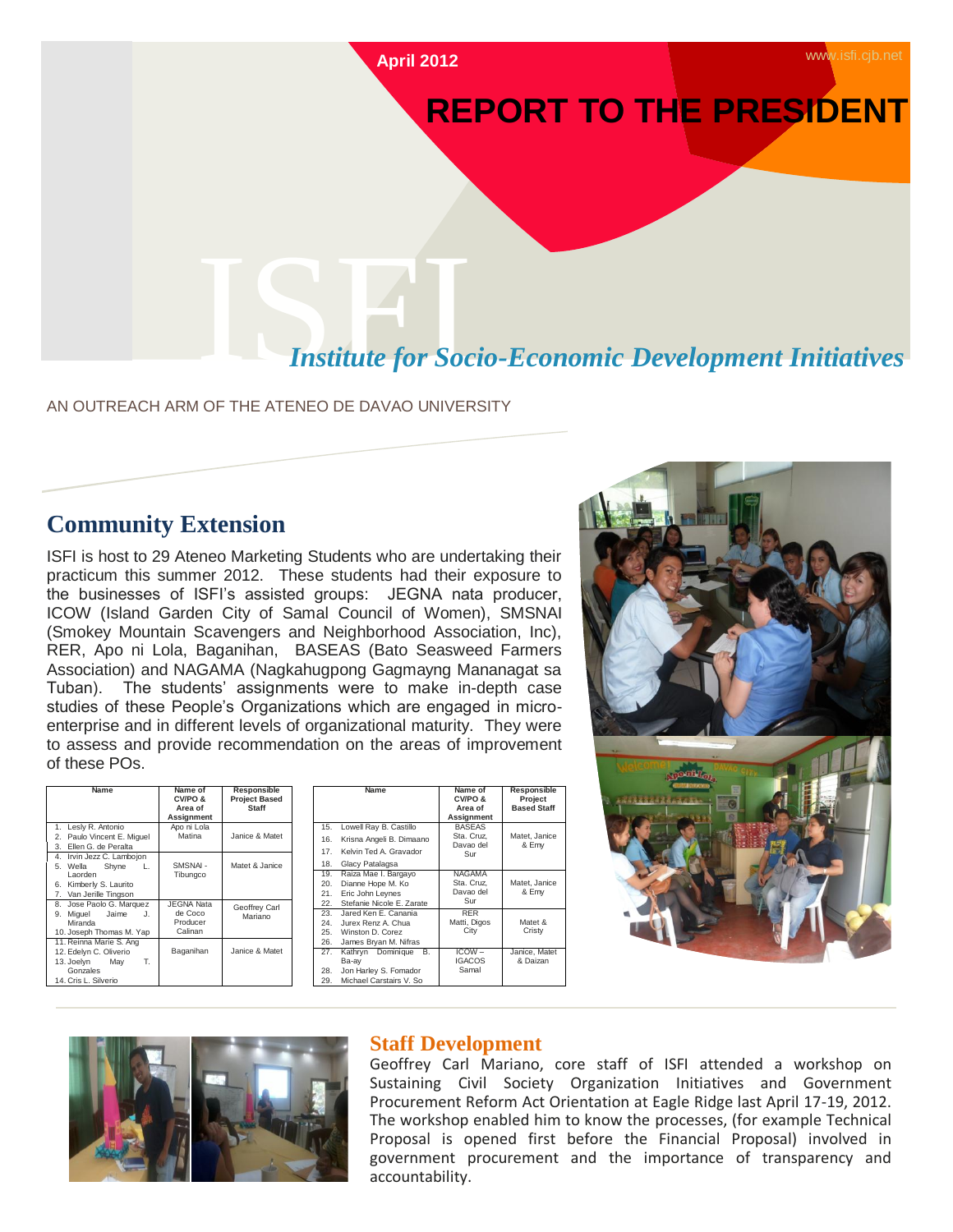

# **REPORT TO THE PRESIDENT**

### **Institute for Socio-Economic Development Initiatives**

AN OUTREACH ARM OF THE ATENEO DE DAVAO UNIVERSITY

#### **Community Extension**

ISFI is host to 29 Ateneo Marketing Students who are undertaking their practicum this summer 2012. These students had their exposure to the businesses of ISFI's assisted groups: JEGNA nata producer, ICOW (Island Garden City of Samal Council of Women), SMSNAI (Smokey Mountain Scavengers and Neighborhood Association, Inc), RER, Apo ni Lola, Baganihan, BASEAS (Bato Seasweed Farmers Association) and NAGAMA (Nagkahugpong Gagmayng Mananagat sa Tuban). The students' assignments were to make in-depth case studies of these People's Organizations which are engaged in microenterprise and in different levels of organizational maturity. They were to assess and provide recommendation on the areas of improvement of these POs.

| Name                                                                                                                | Name of<br>CV/PO&<br>Area of<br>Assignment          | <b>Responsible</b><br><b>Project Based</b><br><b>Staff</b> |  |
|---------------------------------------------------------------------------------------------------------------------|-----------------------------------------------------|------------------------------------------------------------|--|
| 1. Lesly R. Antonio<br>2. Paulo Vincent E. Miguel<br>Ellen G. de Peralta<br>3.                                      | Apo ni Lola<br>Matina                               | Janice & Matet                                             |  |
| 4. Irvin Jezz C. Lambojon<br>5. Wella<br>Shyne<br>L.<br>Laorden<br>6. Kimberly S. Laurito<br>7. Van Jerille Tingson | SMSNAI-<br>Tibungco                                 | Matet & Janice                                             |  |
| 8. Jose Paolo G. Marquez<br>Miguel Jaime<br>J.<br>9.<br>Miranda<br>10. Joseph Thomas M. Yap                         | <b>JEGNA Nata</b><br>de Coco<br>Producer<br>Calinan | Geoffrey Carl<br>Mariano                                   |  |
| 11. Reinna Marie S. Ang<br>12. Edelyn C. Oliverio<br>13. Joelyn May<br>Т.<br>Gonzales<br>14. Cris L. Silverio       | Baganihan                                           | Janice & Matet                                             |  |

|     | Name                      | Name of<br>CV/PO &<br>Area of<br>Assignment | Responsible<br>Project<br><b>Based Staff</b> |
|-----|---------------------------|---------------------------------------------|----------------------------------------------|
| 15. | Lowell Ray B. Castillo    | <b>BASEAS</b><br>Sta. Cruz.                 | Matet, Janice                                |
| 16. | Krisna Angeli B. Dimaano  | Davao del                                   | & Emy                                        |
| 17. | Kelvin Ted A. Gravador    | Sur                                         |                                              |
| 18. | Glacy Patalagsa           |                                             |                                              |
| 19. | Raiza Mae I. Bargayo      | <b>NAGAMA</b>                               |                                              |
| 20. | Dianne Hope M. Ko         | Sta. Cruz.                                  | Matet, Janice                                |
| 21. | Eric John Leynes          | Davao del                                   | & Emy                                        |
| 22. | Stefanie Nicole E. Zarate | Sur                                         |                                              |
| 23. | Jared Ken E. Canania      | <b>RER</b>                                  |                                              |
| 24. | Jurex Renz A. Chua        | Matti, Digos                                | Matet &                                      |
| 25. | Winston D. Corez          | City                                        | Cristy                                       |
| 26. | James Bryan M. Nifras     |                                             |                                              |
| 27. | Kathrvn Dominique<br>В.   | $ICOW -$                                    | Janice, Matet                                |
|     | Ba-ay                     | <b>IGACOS</b>                               | & Daizan                                     |
| 28. | Jon Harley S. Fomador     | Samal                                       |                                              |
| 29. | Michael Carstairs V. So   |                                             |                                              |





#### **Staff Development**

Geoffrey Carl Mariano, core staff of ISFI attended a workshop on Sustaining Civil Society Organization Initiatives and Government Procurement Reform Act Orientation at Eagle Ridge last April 17-19, 2012. The workshop enabled him to know the processes, (for example Technical Proposal is opened first before the Financial Proposal) involved in government procurement and the importance of transparency and accountability.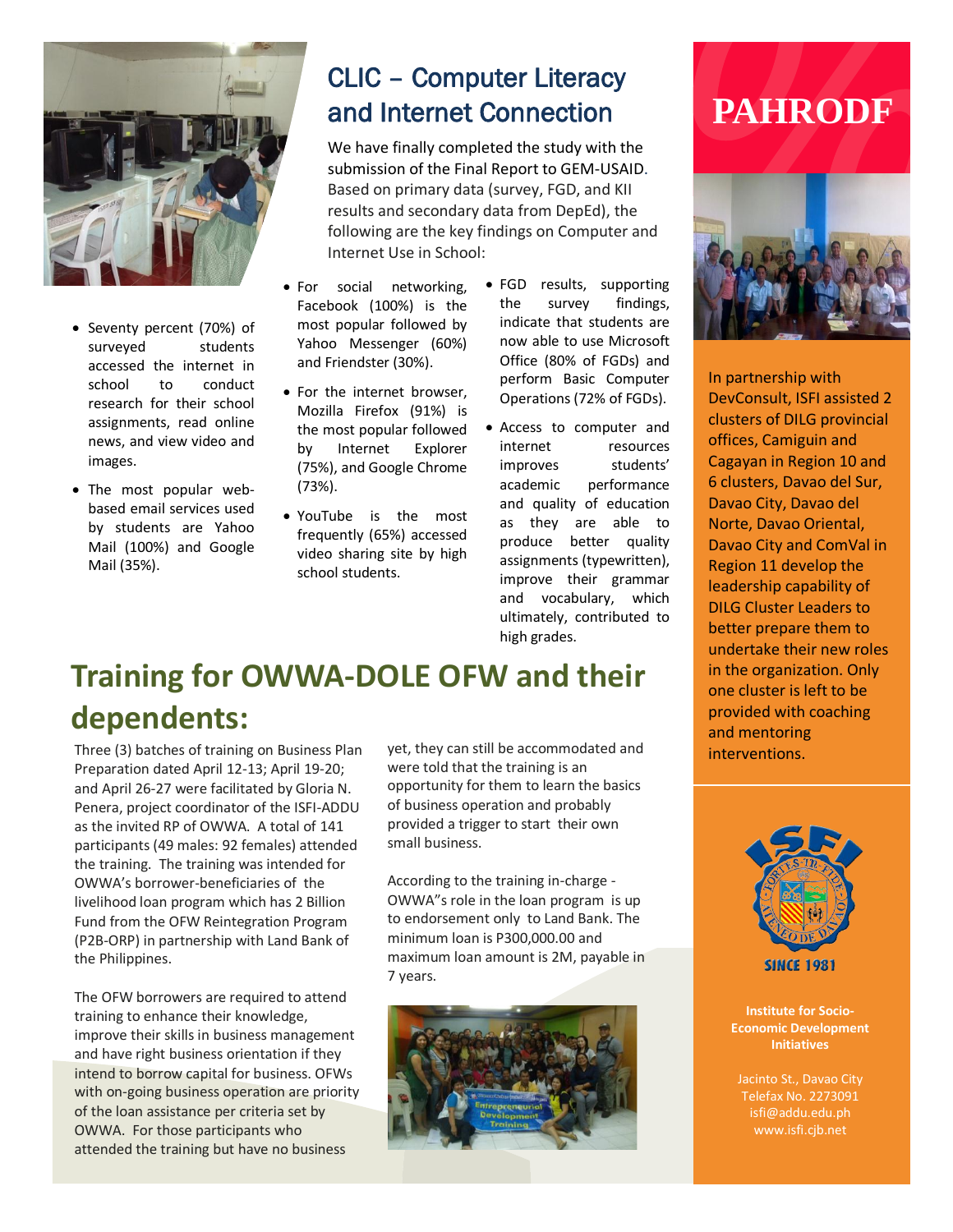

- Seventy percent (70%) of surveyed students accessed the internet in school to conduct research for their school assignments, read online news, and view video and images.
- The most popular webbased email services used by students are Yahoo Mail (100%) and Google Mail (35%).

## CLIC – Computer Literacy and Internet Connection

We have finally completed the study with the submission of the Final Report to GEM-USAID. Based on primary data (survey, FGD, and KII results and secondary data from DepEd), the following are the key findings on Computer and Internet Use in School:

- For social networking, Facebook (100%) is the most popular followed by Yahoo Messenger (60%) and Friendster (30%).
- For the internet browser, Mozilla Firefox (91%) is the most popular followed by Internet Explorer (75%), and Google Chrome (73%).
- YouTube is the most frequently (65%) accessed video sharing site by high school students.
- FGD results, supporting the survey findings, indicate that students are now able to use Microsoft Office (80% of FGDs) and perform Basic Computer Operations (72% of FGDs).
- Access to computer and internet resources improves students' academic performance and quality of education as they are able to produce better quality assignments (typewritten), improve their grammar and vocabulary, which ultimately, contributed to high grades.

## **PAHRODF**



In partnership with DevConsult, ISFI assisted 2 clusters of DILG provincial offices, Camiguin and Cagayan in Region 10 and 6 clusters, Davao del Sur, Davao City, Davao del Norte, Davao Oriental, Davao City and ComVal in Region 11 develop the leadership capability of DILG Cluster Leaders to better prepare them to undertake their new roles in the organization. Only one cluster is left to be provided with coaching and mentoring interventions.

## **Training for OWWA-DOLE OFW and their dependents:**

Three (3) batches of training on Business Plan Preparation dated April 12-13; April 19-20; and April 26-27 were facilitated by Gloria N. Penera, project coordinator of the ISFI-ADDU as the invited RP of OWWA. A total of 141 participants (49 males: 92 females) attended the training. The training was intended for OWWA's borrower-beneficiaries of the livelihood loan program which has 2 Billion Fund from the OFW Reintegration Program (P2B-ORP) in partnership with Land Bank of the Philippines.

The OFW borrowers are required to attend training to enhance their knowledge, improve their skills in business management and have right business orientation if they intend to borrow capital for business. OFWs with on-going business operation are priority of the loan assistance per criteria set by OWWA. For those participants who attended the training but have no business

yet, they can still be accommodated and were told that the training is an opportunity for them to learn the basics of business operation and probably provided a trigger to start their own small business.

According to the training in-charge - OWWA"s role in the loan program is up to endorsement only to Land Bank. The minimum loan is P300,000.00 and maximum loan amount is 2M, payable in 7 years.





**Institute for Socio-Economic Development Initiatives**

Jacinto St., Davao City Telefax No. 2273091 isfi@addu.edu.ph www.isfi.cjb.net